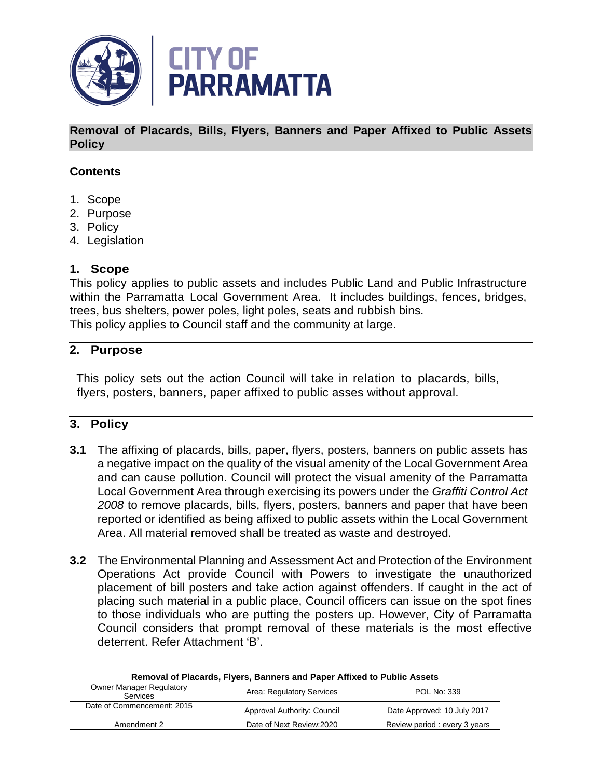

**Removal of Placards, Bills, Flyers, Banners and Paper Affixed to Public Assets Policy** 

#### **Contents**

- 1. Scope
- 2. Purpose
- 3. Policy
- 4. Legislation

#### **1. Scope**

This policy applies to public assets and includes Public Land and Public Infrastructure within the Parramatta Local Government Area. It includes buildings, fences, bridges, trees, bus shelters, power poles, light poles, seats and rubbish bins. This policy applies to Council staff and the community at large.

#### **2. Purpose**

This policy sets out the action Council will take in relation to placards, bills, flyers, posters, banners, paper affixed to public asses without approval.

#### **3. Policy**

- **3.1** The affixing of placards, bills, paper, flyers, posters, banners on public assets has a negative impact on the quality of the visual amenity of the Local Government Area and can cause pollution. Council will protect the visual amenity of the Parramatta Local Government Area through exercising its powers under the *Graffiti Control Act 2008* to remove placards, bills, flyers, posters, banners and paper that have been reported or identified as being affixed to public assets within the Local Government Area. All material removed shall be treated as waste and destroyed.
- **3.2** The Environmental Planning and Assessment Act and Protection of the Environment Operations Act provide Council with Powers to investigate the unauthorized placement of bill posters and take action against offenders. If caught in the act of placing such material in a public place, Council officers can issue on the spot fines to those individuals who are putting the posters up. However, City of Parramatta Council considers that prompt removal of these materials is the most effective deterrent. Refer Attachment 'B'.

| Removal of Placards, Flyers, Banners and Paper Affixed to Public Assets |                             |                              |  |
|-------------------------------------------------------------------------|-----------------------------|------------------------------|--|
| <b>Owner Manager Regulatory</b><br><b>Services</b>                      | Area: Regulatory Services   | POL No: 339                  |  |
| Date of Commencement: 2015                                              | Approval Authority: Council | Date Approved: 10 July 2017  |  |
| Amendment 2                                                             | Date of Next Review: 2020   | Review period: every 3 years |  |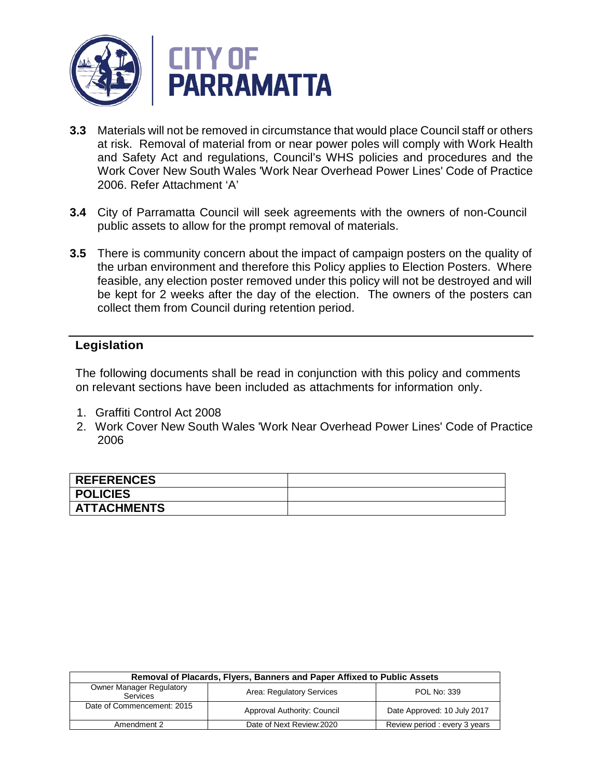

- **3.3** Materials will not be removed in circumstance that would place Council staff or others at risk. Removal of material from or near power poles will comply with Work Health and Safety Act and regulations, Council's WHS policies and procedures and the Work Cover New South Wales 'Work Near Overhead Power Lines' Code of Practice 2006. Refer Attachment 'A'
- **3.4** City of Parramatta Council will seek agreements with the owners of non-Council public assets to allow for the prompt removal of materials.
- **3.5** There is community concern about the impact of campaign posters on the quality of the urban environment and therefore this Policy applies to Election Posters. Where feasible, any election poster removed under this policy will not be destroyed and will be kept for 2 weeks after the day of the election. The owners of the posters can collect them from Council during retention period.

### **Legislation**

The following documents shall be read in conjunction with this policy and comments on relevant sections have been included as attachments for information only.

- 1. Graffiti Control Act 2008
- 2. Work Cover New South Wales 'Work Near Overhead Power Lines' Code of Practice 2006

| <b>REFERENCES</b>  |  |
|--------------------|--|
| <b>POLICIES</b>    |  |
| <b>ATTACHMENTS</b> |  |

| Removal of Placards, Flyers, Banners and Paper Affixed to Public Assets |                             |                              |  |
|-------------------------------------------------------------------------|-----------------------------|------------------------------|--|
| <b>Owner Manager Regulatory</b><br>Services                             | Area: Regulatory Services   | <b>POL No: 339</b>           |  |
| Date of Commencement: 2015                                              | Approval Authority: Council | Date Approved: 10 July 2017  |  |
| Amendment 2                                                             | Date of Next Review: 2020   | Review period: every 3 years |  |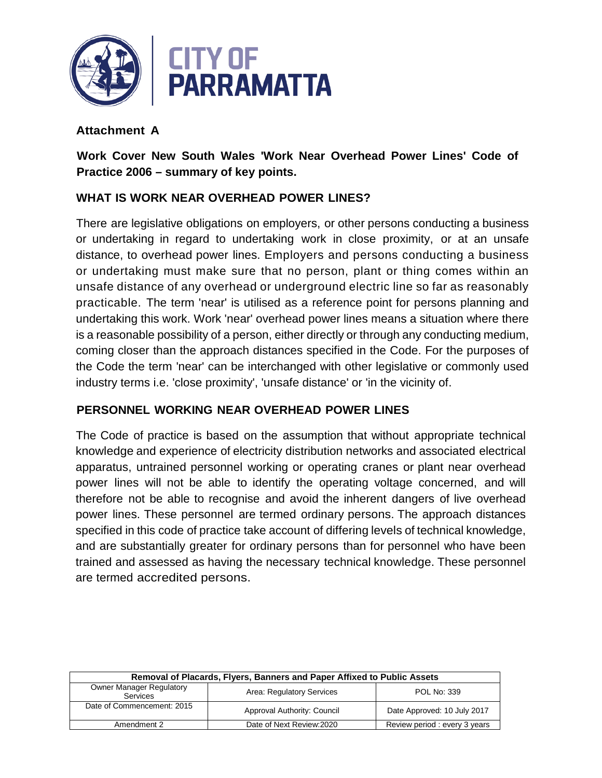

## **Attachment A**

**Work Cover New South Wales 'Work Near Overhead Power Lines' Code of Practice 2006 – summary of key points.**

## **WHAT IS WORK NEAR OVERHEAD POWER LINES?**

There are legislative obligations on employers, or other persons conducting a business or undertaking in regard to undertaking work in close proximity, or at an unsafe distance, to overhead power lines. Employers and persons conducting a business or undertaking must make sure that no person, plant or thing comes within an unsafe distance of any overhead or underground electric line so far as reasonably practicable. The term 'near' is utilised as a reference point for persons planning and undertaking this work. Work 'near' overhead power lines means a situation where there is a reasonable possibility of a person, either directly or through any conducting medium, coming closer than the approach distances specified in the Code. For the purposes of the Code the term 'near' can be interchanged with other legislative or commonly used industry terms i.e. 'close proximity', 'unsafe distance' or 'in the vicinity of.

## **PERSONNEL WORKING NEAR OVERHEAD POWER LINES**

The Code of practice is based on the assumption that without appropriate technical knowledge and experience of electricity distribution networks and associated electrical apparatus, untrained personnel working or operating cranes or plant near overhead power lines will not be able to identify the operating voltage concerned, and will therefore not be able to recognise and avoid the inherent dangers of live overhead power lines. These personnel are termed ordinary persons. The approach distances specified in this code of practice take account of differing levels of technical knowledge, and are substantially greater for ordinary persons than for personnel who have been trained and assessed as having the necessary technical knowledge. These personnel are termed accredited persons.

| Removal of Placards, Flyers, Banners and Paper Affixed to Public Assets |                             |                              |  |
|-------------------------------------------------------------------------|-----------------------------|------------------------------|--|
| <b>Owner Manager Regulatory</b><br>Services                             | Area: Regulatory Services   | <b>POL No: 339</b>           |  |
| Date of Commencement: 2015                                              | Approval Authority: Council | Date Approved: 10 July 2017  |  |
| Amendment 2                                                             | Date of Next Review: 2020   | Review period: every 3 years |  |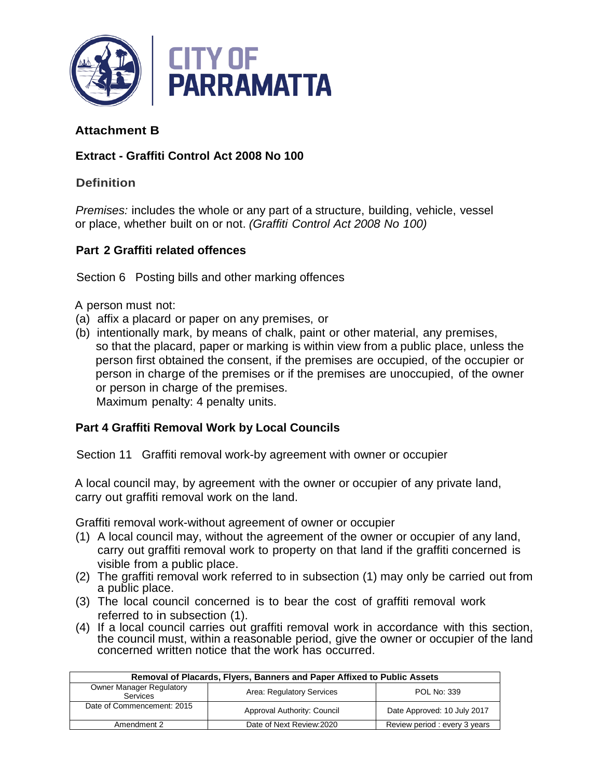

# **Attachment B**

# **Extract - Graffiti Control Act 2008 No 100**

### **Definition**

*Premises:* includes the whole or any part of a structure, building, vehicle, vessel or place, whether built on or not. *(Graffiti Control Act 2008 No 100)*

### **Part 2 Graffiti related offences**

Section 6 Posting bills and other marking offences

A person must not:

- (a) affix a placard or paper on any premises, or
- (b) intentionally mark, by means of chalk, paint or other material, any premises, so that the placard, paper or marking is within view from a public place, unless the person first obtained the consent, if the premises are occupied, of the occupier or person in charge of the premises or if the premises are unoccupied, of the owner or person in charge of the premises.

Maximum penalty: 4 penalty units.

#### **Part 4 Graffiti Removal Work by Local Councils**

Section 11 Graffiti removal work-by agreement with owner or occupier

A local council may, by agreement with the owner or occupier of any private land, carry out graffiti removal work on the land.

Graffiti removal work-without agreement of owner or occupier

- (1) A local council may, without the agreement of the owner or occupier of any land, carry out graffiti removal work to property on that land if the graffiti concerned is visible from a public place.
- (2) The graffiti removal work referred to in subsection (1) may only be carried out from a public place.
- (3) The local council concerned is to bear the cost of graffiti removal work referred to in subsection (1).
- (4) If a local council carries out graffiti removal work in accordance with this section, the council must, within a reasonable period, give the owner or occupier of the land concerned written notice that the work has occurred.

| Removal of Placards, Flyers, Banners and Paper Affixed to Public Assets |                             |                              |  |
|-------------------------------------------------------------------------|-----------------------------|------------------------------|--|
| <b>Owner Manager Regulatory</b><br><b>Services</b>                      | Area: Regulatory Services   | POL No: 339                  |  |
| Date of Commencement: 2015                                              | Approval Authority: Council | Date Approved: 10 July 2017  |  |
| Amendment 2                                                             | Date of Next Review: 2020   | Review period: every 3 years |  |